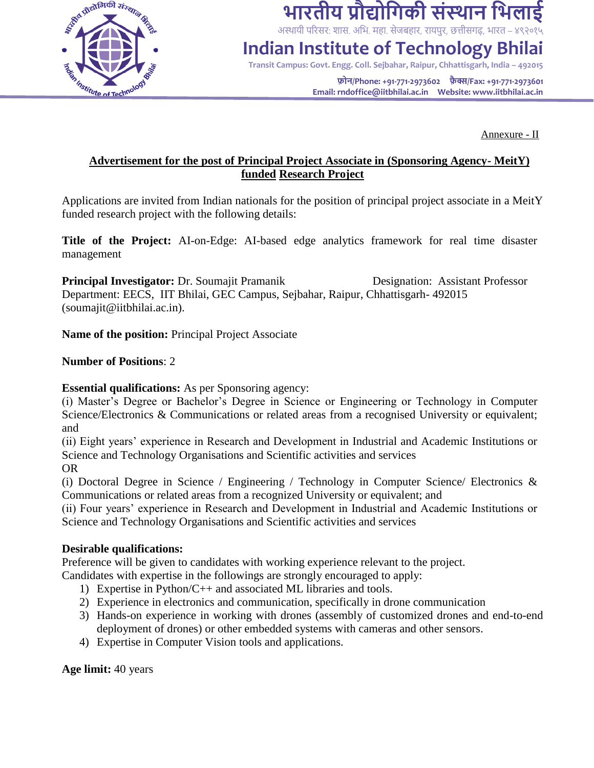

## **भारतीय प्रौद्योगिकी संस्थान गभलाई**

अस्थायी परिसर: शास. अभि. महा. सेजबहार, रायपुर, छत्तीसगढ़, भारत – ४९२०१५

## **Indian Institute of Technology Bhilai**

**Transit Campus: Govt. Engg. Coll. Sejbahar, Raipur, Chhattisgarh, India – 492015**

**फोन/Phone: +91-771-2973602 फ़ै क्स/Fax: +91-771-2973601 Email: rndoffice@iitbhilai.ac.in Website: www.iitbhilai.ac.in**

Annexure - II

#### **Advertisement for the post of Principal Project Associate in (Sponsoring Agency- MeitY) funded Research Project**

Applications are invited from Indian nationals for the position of principal project associate in a MeitY funded research project with the following details:

**Title of the Project:** AI-on-Edge: AI-based edge analytics framework for real time disaster management

**Principal Investigator:** Dr. Soumajit Pramanik Designation: Assistant Professor Department: EECS, IIT Bhilai, GEC Campus, Sejbahar, Raipur, Chhattisgarh- 492015 (soumajit@iitbhilai.ac.in).

**Name of the position:** Principal Project Associate

#### **Number of Positions**: 2

#### **Essential qualifications:** As per Sponsoring agency:

(i) Master's Degree or Bachelor's Degree in Science or Engineering or Technology in Computer Science/Electronics & Communications or related areas from a recognised University or equivalent; and

(ii) Eight years' experience in Research and Development in Industrial and Academic Institutions or Science and Technology Organisations and Scientific activities and services OR

(i) Doctoral Degree in Science / Engineering / Technology in Computer Science Electronics  $\&$ Communications or related areas from a recognized University or equivalent; and

(ii) Four years' experience in Research and Development in Industrial and Academic Institutions or Science and Technology Organisations and Scientific activities and services

#### **Desirable qualifications:**

Preference will be given to candidates with working experience relevant to the project.

Candidates with expertise in the followings are strongly encouraged to apply:

- 1) Expertise in Python/C++ and associated ML libraries and tools.
- 2) Experience in electronics and communication, specifically in drone communication
- 3) Hands-on experience in working with drones (assembly of customized drones and end-to-end deployment of drones) or other embedded systems with cameras and other sensors.
- 4) Expertise in Computer Vision tools and applications.

**Age limit:** 40 years